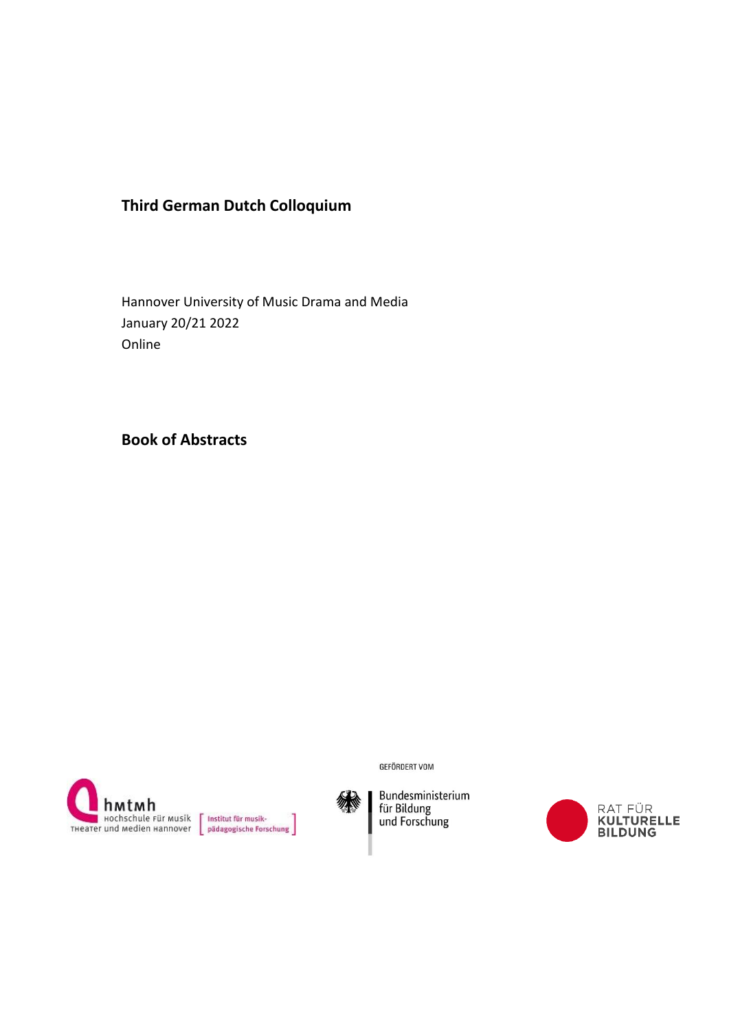# **Third German Dutch Colloquium**

Hannover University of Music Drama and Media January 20/21 2022 Online

**Book of Abstracts**





**GEFÖRDERT VOM** 



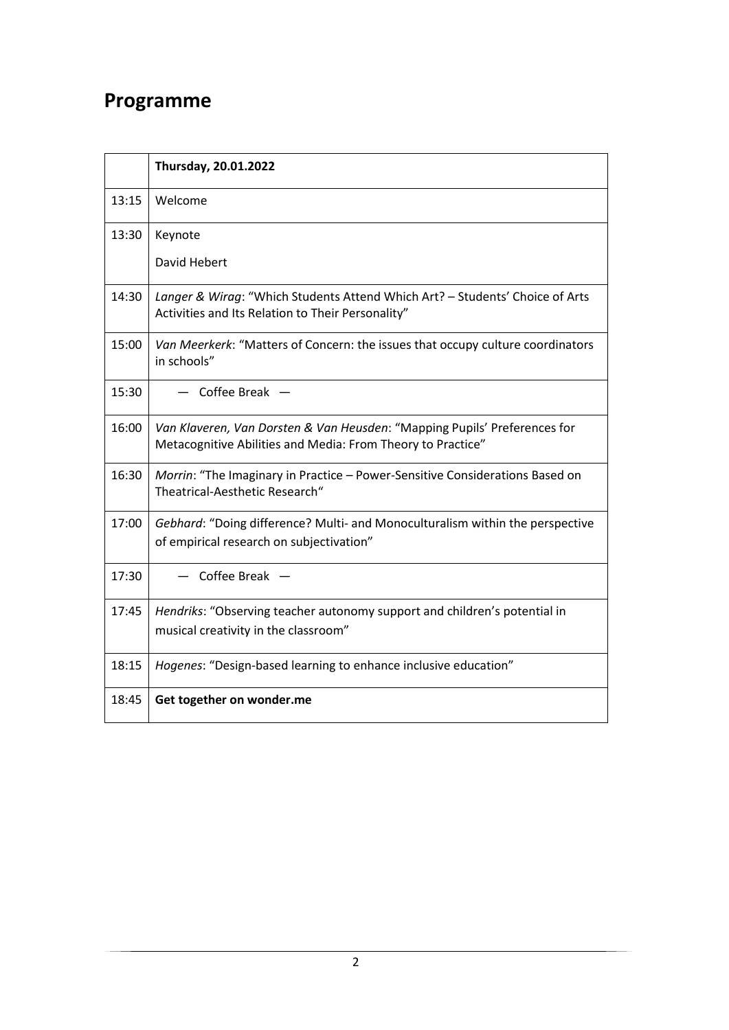# **Programme**

|       | Thursday, 20.01.2022                                                                                                                     |
|-------|------------------------------------------------------------------------------------------------------------------------------------------|
| 13:15 | Welcome                                                                                                                                  |
| 13:30 | Keynote                                                                                                                                  |
|       | David Hebert                                                                                                                             |
| 14:30 | Langer & Wirag: "Which Students Attend Which Art? - Students' Choice of Arts<br>Activities and Its Relation to Their Personality"        |
| 15:00 | Van Meerkerk: "Matters of Concern: the issues that occupy culture coordinators<br>in schools"                                            |
| 15:30 | $-$ Coffee Break $-$                                                                                                                     |
| 16:00 | Van Klaveren, Van Dorsten & Van Heusden: "Mapping Pupils' Preferences for<br>Metacognitive Abilities and Media: From Theory to Practice" |
| 16:30 | Morrin: "The Imaginary in Practice - Power-Sensitive Considerations Based on<br>Theatrical-Aesthetic Research"                           |
| 17:00 | Gebhard: "Doing difference? Multi- and Monoculturalism within the perspective<br>of empirical research on subjectivation"                |
| 17:30 | Coffee Break $-$                                                                                                                         |
| 17:45 | Hendriks: "Observing teacher autonomy support and children's potential in<br>musical creativity in the classroom"                        |
| 18:15 | Hogenes: "Design-based learning to enhance inclusive education"                                                                          |
| 18:45 | Get together on wonder.me                                                                                                                |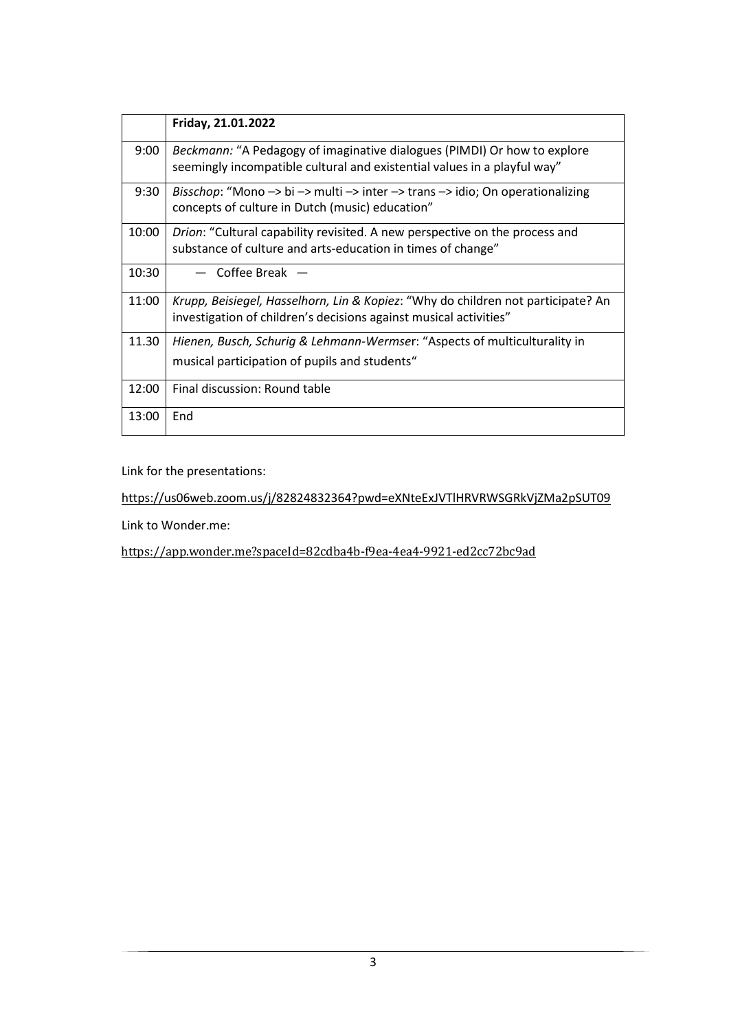|       | Friday, 21.01.2022                                                                                                                                          |
|-------|-------------------------------------------------------------------------------------------------------------------------------------------------------------|
| 9:00  | <i>Beckmann:</i> "A Pedagogy of imaginative dialogues (PIMDI) Or how to explore<br>seemingly incompatible cultural and existential values in a playful way" |
| 9:30  | <i>Bisschop</i> : "Mono -> bi -> multi -> inter -> trans -> idio; On operationalizing<br>concepts of culture in Dutch (music) education"                    |
| 10:00 | Drion: "Cultural capability revisited. A new perspective on the process and<br>substance of culture and arts-education in times of change"                  |
| 10:30 | Coffee Break $-$                                                                                                                                            |
| 11:00 | Krupp, Beisiegel, Hasselhorn, Lin & Kopiez: "Why do children not participate? An<br>investigation of children's decisions against musical activities"       |
| 11.30 | Hienen, Busch, Schurig & Lehmann-Wermser: "Aspects of multiculturality in<br>musical participation of pupils and students"                                  |
| 12:00 | Final discussion: Round table                                                                                                                               |
| 13:00 | End                                                                                                                                                         |

Link for the presentations:

<https://us06web.zoom.us/j/82824832364?pwd=eXNteExJVTlHRVRWSGRkVjZMa2pSUT09>

Link to Wonder.me:

[https://app.wonder.me?spaceId=82cdba4b-f9ea-4ea4-9921-ed2cc72bc9ad](https://app.wonder.me/?spaceId=82cdba4b-f9ea-4ea4-9921-ed2cc72bc9ad)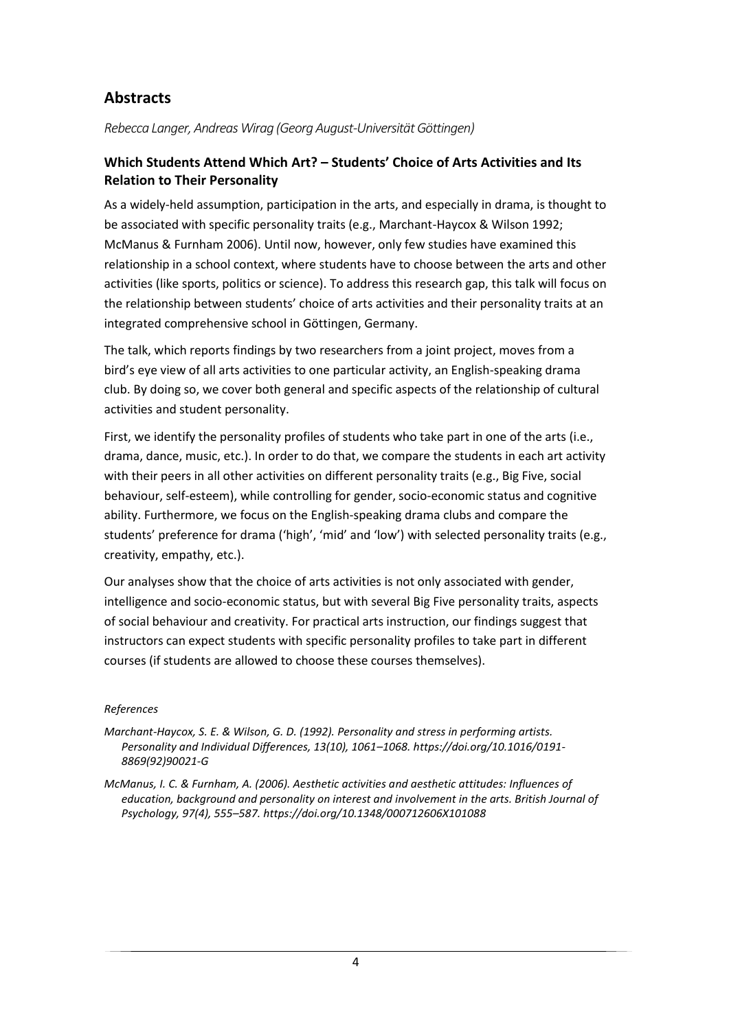# **Abstracts**

*Rebecca Langer, Andreas Wirag (Georg August-Universität Göttingen)*

# **Which Students Attend Which Art? – Students' Choice of Arts Activities and Its Relation to Their Personality**

As a widely-held assumption, participation in the arts, and especially in drama, is thought to be associated with specific personality traits (e.g., Marchant-Haycox & Wilson 1992; McManus & Furnham 2006). Until now, however, only few studies have examined this relationship in a school context, where students have to choose between the arts and other activities (like sports, politics or science). To address this research gap, this talk will focus on the relationship between students' choice of arts activities and their personality traits at an integrated comprehensive school in Göttingen, Germany.

The talk, which reports findings by two researchers from a joint project, moves from a bird's eye view of all arts activities to one particular activity, an English-speaking drama club. By doing so, we cover both general and specific aspects of the relationship of cultural activities and student personality.

First, we identify the personality profiles of students who take part in one of the arts (i.e., drama, dance, music, etc.). In order to do that, we compare the students in each art activity with their peers in all other activities on different personality traits (e.g., Big Five, social behaviour, self-esteem), while controlling for gender, socio-economic status and cognitive ability. Furthermore, we focus on the English-speaking drama clubs and compare the students' preference for drama ('high', 'mid' and 'low') with selected personality traits (e.g., creativity, empathy, etc.).

Our analyses show that the choice of arts activities is not only associated with gender, intelligence and socio-economic status, but with several Big Five personality traits, aspects of social behaviour and creativity. For practical arts instruction, our findings suggest that instructors can expect students with specific personality profiles to take part in different courses (if students are allowed to choose these courses themselves).

## *References*

*Marchant-Haycox, S. E. & Wilson, G. D. (1992). Personality and stress in performing artists. Personality and Individual Differences, 13(10), 1061–1068. https://doi.org/10.1016/0191- 8869(92)90021-G*

*McManus, I. C. & Furnham, A. (2006). Aesthetic activities and aesthetic attitudes: Influences of education, background and personality on interest and involvement in the arts. British Journal of Psychology, 97(4), 555–587. https://doi.org/10.1348/000712606X101088*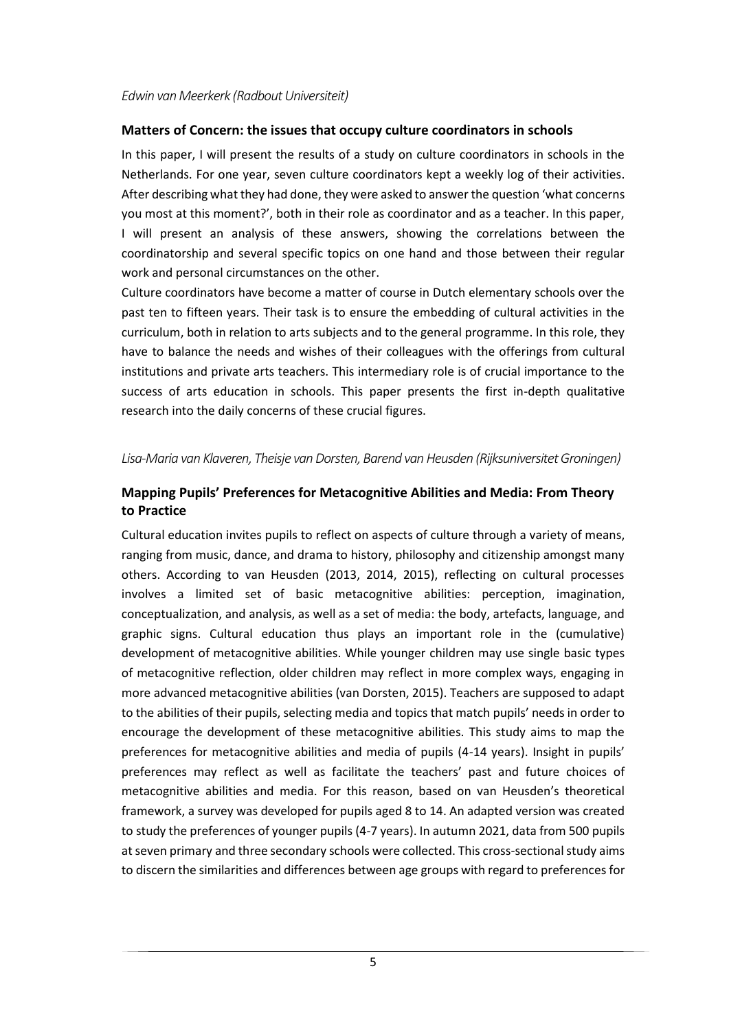#### *Edwin van Meerkerk (Radbout Universiteit)*

#### **Matters of Concern: the issues that occupy culture coordinators in schools**

In this paper, I will present the results of a study on culture coordinators in schools in the Netherlands. For one year, seven culture coordinators kept a weekly log of their activities. After describing what they had done, they were asked to answer the question 'what concerns you most at this moment?', both in their role as coordinator and as a teacher. In this paper, I will present an analysis of these answers, showing the correlations between the coordinatorship and several specific topics on one hand and those between their regular work and personal circumstances on the other.

Culture coordinators have become a matter of course in Dutch elementary schools over the past ten to fifteen years. Their task is to ensure the embedding of cultural activities in the curriculum, both in relation to arts subjects and to the general programme. In this role, they have to balance the needs and wishes of their colleagues with the offerings from cultural institutions and private arts teachers. This intermediary role is of crucial importance to the success of arts education in schools. This paper presents the first in-depth qualitative research into the daily concerns of these crucial figures.

#### *Lisa-Maria van Klaveren, Theisje van Dorsten, Barend van Heusden (Rijksuniversitet Groningen)*

# **Mapping Pupils' Preferences for Metacognitive Abilities and Media: From Theory to Practice**

Cultural education invites pupils to reflect on aspects of culture through a variety of means, ranging from music, dance, and drama to history, philosophy and citizenship amongst many others. According to van Heusden (2013, 2014, 2015), reflecting on cultural processes involves a limited set of basic metacognitive abilities: perception, imagination, conceptualization, and analysis, as well as a set of media: the body, artefacts, language, and graphic signs. Cultural education thus plays an important role in the (cumulative) development of metacognitive abilities. While younger children may use single basic types of metacognitive reflection, older children may reflect in more complex ways, engaging in more advanced metacognitive abilities (van Dorsten, 2015). Teachers are supposed to adapt to the abilities of their pupils, selecting media and topics that match pupils' needs in order to encourage the development of these metacognitive abilities. This study aims to map the preferences for metacognitive abilities and media of pupils (4-14 years). Insight in pupils' preferences may reflect as well as facilitate the teachers' past and future choices of metacognitive abilities and media. For this reason, based on van Heusden's theoretical framework, a survey was developed for pupils aged 8 to 14. An adapted version was created to study the preferences of younger pupils (4-7 years). In autumn 2021, data from 500 pupils at seven primary and three secondary schools were collected. This cross-sectional study aims to discern the similarities and differences between age groups with regard to preferences for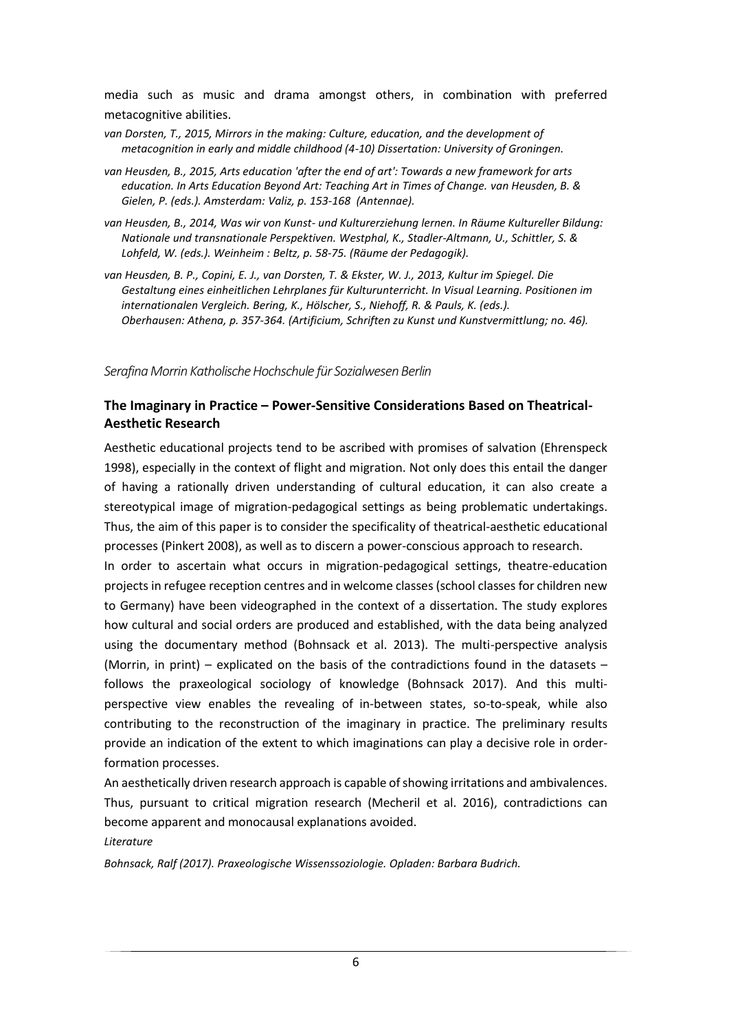media such as music and drama amongst others, in combination with preferred metacognitive abilities.

- *van Dorsten, T., 2015, Mirrors in the making: Culture, education, and the development of metacognition in early and middle childhood (4-10) Dissertation: University of Groningen.*
- *van Heusden, B., 2015, Arts education 'after the end of art': Towards a new framework for arts education. In Arts Education Beyond Art: Teaching Art in Times of Change. van Heusden, B. & Gielen, P. (eds.). Amsterdam: Valiz, p. 153-168 (Antennae).*
- *van Heusden, B., 2014, Was wir von Kunst- und Kulturerziehung lernen. In Räume Kultureller Bildung: Nationale und transnationale Perspektiven. Westphal, K., Stadler-Altmann, U., Schittler, S. & Lohfeld, W. (eds.). Weinheim : [Beltz,](https://research.rug.nl/en/persons/barend-van-heusden/publications/) p. 58-75. (Räume der Pedagogik).*
- *van Heusden, B. P., Copini, E. J., van Dorsten, T. & Ekster, W. J., 2013, Kultur im Spiegel. Die Gestaltung eines einheitlichen Lehrplanes für Kulturunterricht. In Visual Learning. Positionen im internationalen Vergleich. Bering, K., Hölscher, S., Niehoff, R. & Pauls, K. (eds.). Oberhausen: [Athena,](https://research.rug.nl/en/persons/barend-van-heusden/publications/) p. 357-364. (Artificium, Schriften zu Kunst und Kunstvermittlung; no. 46).*

*Serafina Morrin Katholische Hochschule für Sozialwesen Berlin*

# **The Imaginary in Practice – Power-Sensitive Considerations Based on Theatrical-Aesthetic Research**

Aesthetic educational projects tend to be ascribed with promises of salvation (Ehrenspeck 1998), especially in the context of flight and migration. Not only does this entail the danger of having a rationally driven understanding of cultural education, it can also create a stereotypical image of migration-pedagogical settings as being problematic undertakings. Thus, the aim of this paper is to consider the specificality of theatrical-aesthetic educational processes (Pinkert 2008), as well as to discern a power-conscious approach to research.

In order to ascertain what occurs in migration-pedagogical settings, theatre-education projects in refugee reception centres and in welcome classes (school classes for children new to Germany) have been videographed in the context of a dissertation. The study explores how cultural and social orders are produced and established, with the data being analyzed using the documentary method (Bohnsack et al. 2013). The multi-perspective analysis (Morrin, in print) – explicated on the basis of the contradictions found in the datasets – follows the praxeological sociology of knowledge (Bohnsack 2017). And this multiperspective view enables the revealing of in-between states, so-to-speak, while also contributing to the reconstruction of the imaginary in practice. The preliminary results provide an indication of the extent to which imaginations can play a decisive role in orderformation processes.

An aesthetically driven research approach is capable of showing irritations and ambivalences. Thus, pursuant to critical migration research (Mecheril et al. 2016), contradictions can become apparent and monocausal explanations avoided.

*Literature*

*Bohnsack, Ralf (2017). Praxeologische Wissenssoziologie. Opladen: Barbara Budrich.*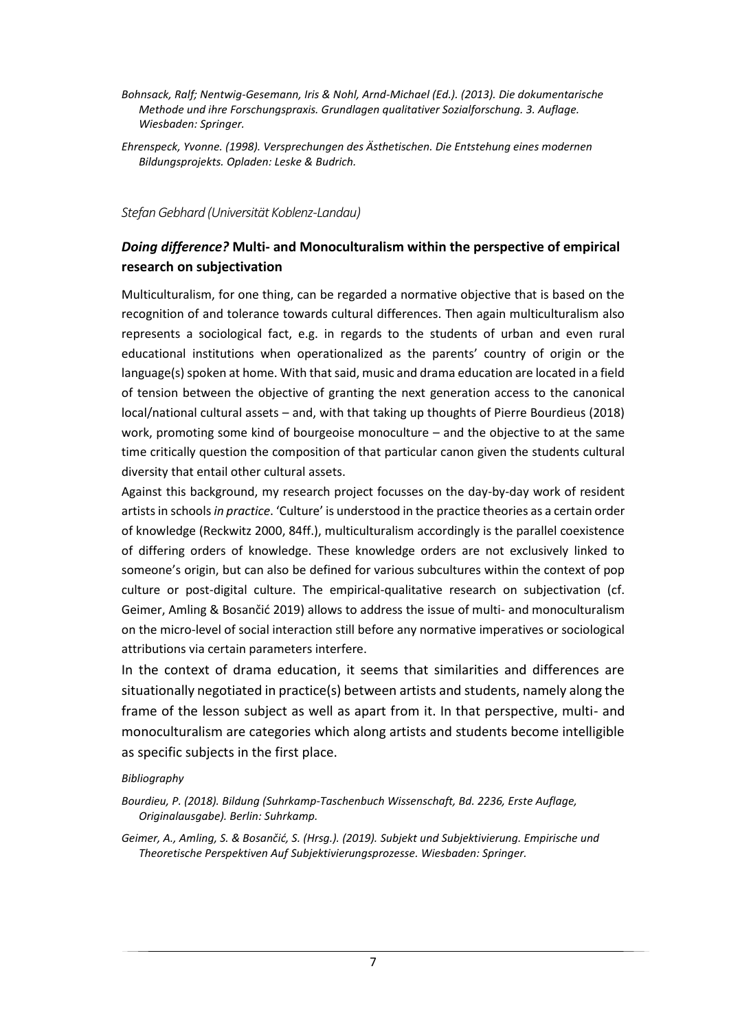- *Bohnsack, Ralf; Nentwig-Gesemann, Iris & Nohl, Arnd-Michael (Ed.). (2013). Die dokumentarische Methode und ihre Forschungspraxis. Grundlagen qualitativer Sozialforschung. 3. Auflage. Wiesbaden: Springer.*
- *Ehrenspeck, Yvonne. (1998). Versprechungen des Ästhetischen. Die Entstehung eines modernen Bildungsprojekts. Opladen: Leske & Budrich.*

*Stefan Gebhard (Universität Koblenz-Landau)*

# *Doing difference?* **Multi- and Monoculturalism within the perspective of empirical research on subjectivation**

Multiculturalism, for one thing, can be regarded a normative objective that is based on the recognition of and tolerance towards cultural differences. Then again multiculturalism also represents a sociological fact, e.g. in regards to the students of urban and even rural educational institutions when operationalized as the parents' country of origin or the language(s) spoken at home. With that said, music and drama education are located in a field of tension between the objective of granting the next generation access to the canonical local/national cultural assets – and, with that taking up thoughts of Pierre Bourdieus (2018) work, promoting some kind of bourgeoise monoculture – and the objective to at the same time critically question the composition of that particular canon given the students cultural diversity that entail other cultural assets.

Against this background, my research project focusses on the day-by-day work of resident artistsin schools *in practice*. 'Culture' is understood in the practice theories as a certain order of knowledge (Reckwitz 2000, 84ff.), multiculturalism accordingly is the parallel coexistence of differing orders of knowledge. These knowledge orders are not exclusively linked to someone's origin, but can also be defined for various subcultures within the context of pop culture or post-digital culture. The empirical-qualitative research on subjectivation (cf. Geimer, Amling & Bosančić 2019) allows to address the issue of multi- and monoculturalism on the micro-level of social interaction still before any normative imperatives or sociological attributions via certain parameters interfere.

In the context of drama education, it seems that similarities and differences are situationally negotiated in practice(s) between artists and students, namely along the frame of the lesson subject as well as apart from it. In that perspective, multi- and monoculturalism are categories which along artists and students become intelligible as specific subjects in the first place.

#### *Bibliography*

*Bourdieu, P. (2018). Bildung (Suhrkamp-Taschenbuch Wissenschaft, Bd. 2236, Erste Auflage, Originalausgabe). Berlin: Suhrkamp.*

*Geimer, A., Amling, S. & Bosančić, S. (Hrsg.). (2019). Subjekt und Subjektivierung. Empirische und Theoretische Perspektiven Auf Subjektivierungsprozesse. Wiesbaden: Springer.*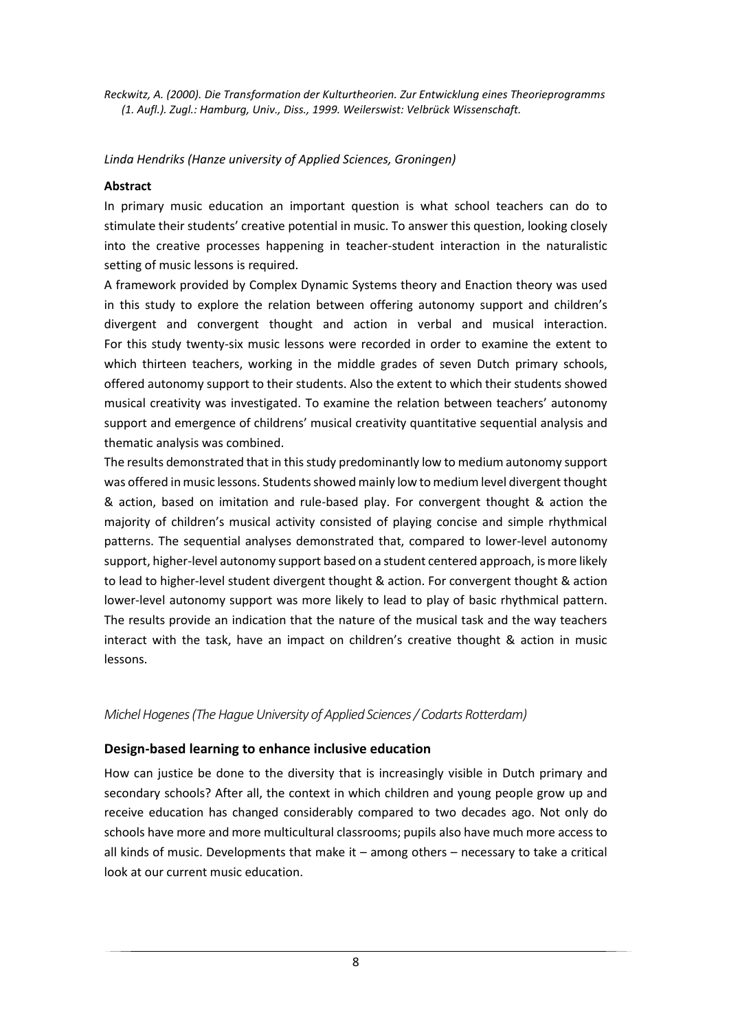*Reckwitz, A. (2000). Die Transformation der Kulturtheorien. Zur Entwicklung eines Theorieprogramms (1. Aufl.). Zugl.: Hamburg, Univ., Diss., 1999. Weilerswist: Velbrück Wissenschaft.*

#### *Linda Hendriks (Hanze university of Applied Sciences, Groningen)*

#### **Abstract**

In primary music education an important question is what school teachers can do to stimulate their students' creative potential in music. To answer this question, looking closely into the creative processes happening in teacher-student interaction in the naturalistic setting of music lessons is required.

A framework provided by Complex Dynamic Systems theory and Enaction theory was used in this study to explore the relation between offering autonomy support and children's divergent and convergent thought and action in verbal and musical interaction. For this study twenty-six music lessons were recorded in order to examine the extent to which thirteen teachers, working in the middle grades of seven Dutch primary schools, offered autonomy support to their students. Also the extent to which their students showed musical creativity was investigated. To examine the relation between teachers' autonomy support and emergence of childrens' musical creativity quantitative sequential analysis and thematic analysis was combined.

The results demonstrated that in this study predominantly low to medium autonomy support was offered in music lessons. Students showed mainly low to medium level divergent thought & action, based on imitation and rule-based play. For convergent thought & action the majority of children's musical activity consisted of playing concise and simple rhythmical patterns. The sequential analyses demonstrated that, compared to lower-level autonomy support, higher-level autonomy support based on a student centered approach, is more likely to lead to higher-level student divergent thought & action. For convergent thought & action lower-level autonomy support was more likely to lead to play of basic rhythmical pattern. The results provide an indication that the nature of the musical task and the way teachers interact with the task, have an impact on children's creative thought & action in music lessons.

## *Michel Hogenes (The Hague University of Applied Sciences / Codarts Rotterdam)*

## **Design-based learning to enhance inclusive education**

How can justice be done to the diversity that is increasingly visible in Dutch primary and secondary schools? After all, the context in which children and young people grow up and receive education has changed considerably compared to two decades ago. Not only do schools have more and more multicultural classrooms; pupils also have much more access to all kinds of music. Developments that make it – among others – necessary to take a critical look at our current music education.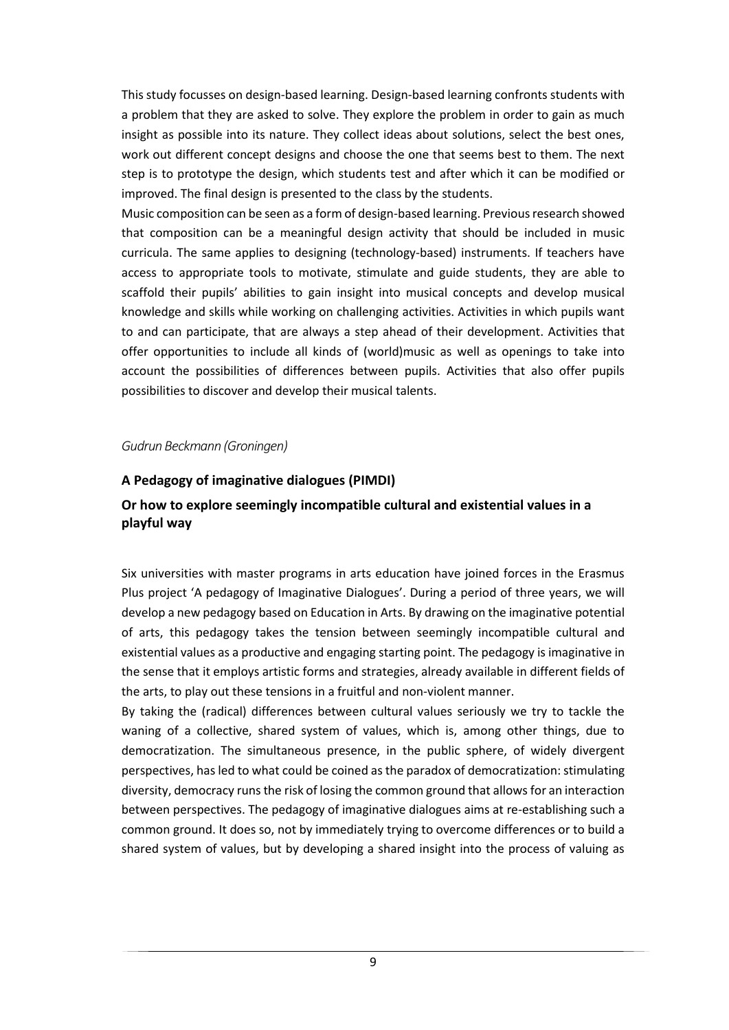This study focusses on design-based learning. Design-based learning confronts students with a problem that they are asked to solve. They explore the problem in order to gain as much insight as possible into its nature. They collect ideas about solutions, select the best ones, work out different concept designs and choose the one that seems best to them. The next step is to prototype the design, which students test and after which it can be modified or improved. The final design is presented to the class by the students.

Music composition can be seen as a form of design-based learning. Previous research showed that composition can be a meaningful design activity that should be included in music curricula. The same applies to designing (technology-based) instruments. If teachers have access to appropriate tools to motivate, stimulate and guide students, they are able to scaffold their pupils' abilities to gain insight into musical concepts and develop musical knowledge and skills while working on challenging activities. Activities in which pupils want to and can participate, that are always a step ahead of their development. Activities that offer opportunities to include all kinds of (world)music as well as openings to take into account the possibilities of differences between pupils. Activities that also offer pupils possibilities to discover and develop their musical talents.

#### *Gudrun Beckmann (Groningen)*

#### **A Pedagogy of imaginative dialogues (PIMDI)**

# **Or how to explore seemingly incompatible cultural and existential values in a playful way**

Six universities with master programs in arts education have joined forces in the Erasmus Plus project 'A pedagogy of Imaginative Dialogues'. During a period of three years, we will develop a new pedagogy based on Education in Arts. By drawing on the imaginative potential of arts, this pedagogy takes the tension between seemingly incompatible cultural and existential values as a productive and engaging starting point. The pedagogy is imaginative in the sense that it employs artistic forms and strategies, already available in different fields of the arts, to play out these tensions in a fruitful and non-violent manner.

By taking the (radical) differences between cultural values seriously we try to tackle the waning of a collective, shared system of values, which is, among other things, due to democratization. The simultaneous presence, in the public sphere, of widely divergent perspectives, has led to what could be coined as the paradox of democratization: stimulating diversity, democracy runs the risk of losing the common ground that allows for an interaction between perspectives. The pedagogy of imaginative dialogues aims at re-establishing such a common ground. It does so, not by immediately trying to overcome differences or to build a shared system of values, but by developing a shared insight into the process of valuing as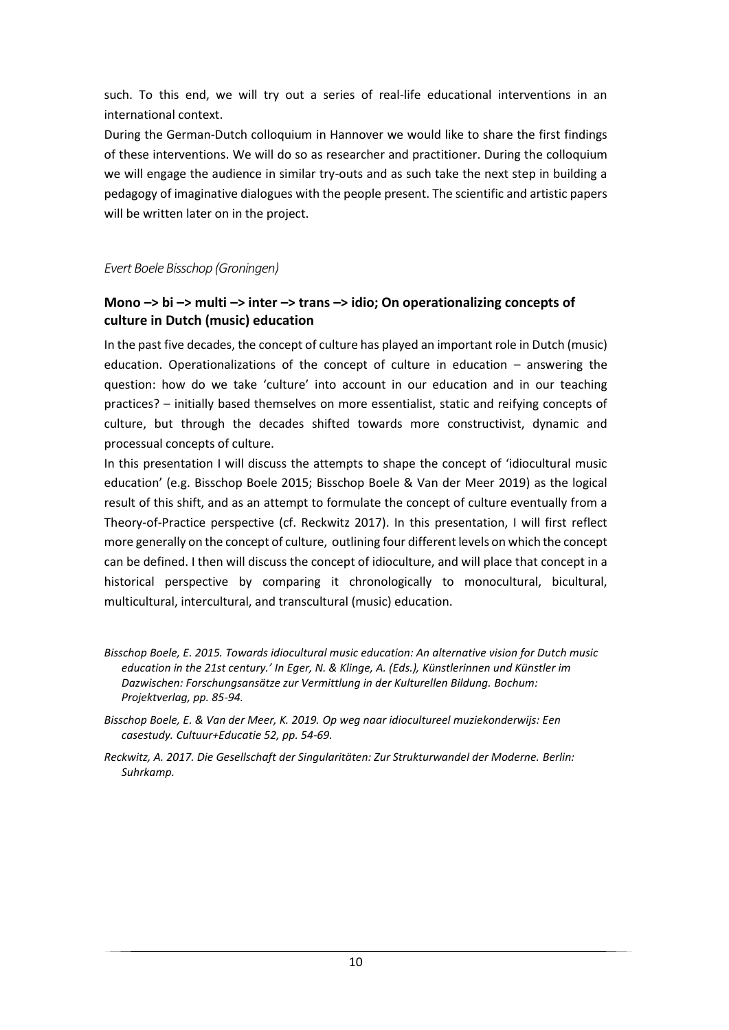such. To this end, we will try out a series of real-life educational interventions in an international context.

During the German-Dutch colloquium in Hannover we would like to share the first findings of these interventions. We will do so as researcher and practitioner. During the colloquium we will engage the audience in similar try-outs and as such take the next step in building a pedagogy of imaginative dialogues with the people present. The scientific and artistic papers will be written later on in the project.

*Evert Boele Bisschop (Groningen)*

# **Mono –> bi –> multi –> inter –> trans –> idio; On operationalizing concepts of culture in Dutch (music) education**

In the past five decades, the concept of culture has played an important role in Dutch (music) education. Operationalizations of the concept of culture in education – answering the question: how do we take 'culture' into account in our education and in our teaching practices? – initially based themselves on more essentialist, static and reifying concepts of culture, but through the decades shifted towards more constructivist, dynamic and processual concepts of culture.

In this presentation I will discuss the attempts to shape the concept of 'idiocultural music education' (e.g. Bisschop Boele 2015; Bisschop Boele & Van der Meer 2019) as the logical result of this shift, and as an attempt to formulate the concept of culture eventually from a Theory-of-Practice perspective (cf. Reckwitz 2017). In this presentation, I will first reflect more generally on the concept of culture, outlining four different levels on which the concept can be defined. I then will discuss the concept of idioculture, and will place that concept in a historical perspective by comparing it chronologically to monocultural, bicultural, multicultural, intercultural, and transcultural (music) education.

*Bisschop Boele, E. 2015. Towards idiocultural music education: An alternative vision for Dutch music education in the 21st century.' In Eger, N. & Klinge, A. (Eds.), Künstlerinnen und Künstler im Dazwischen: Forschungsansätze zur Vermittlung in der Kulturellen Bildung. Bochum: Projektverlag, pp. 85-94.*

*Bisschop Boele, E. & Van der Meer, K. 2019. Op weg naar idiocultureel muziekonderwijs: Een casestudy. Cultuur+Educatie 52, pp. 54-69.*

*Reckwitz, A. 2017. Die Gesellschaft der Singularitäten: Zur Strukturwandel der Moderne. Berlin: Suhrkamp.*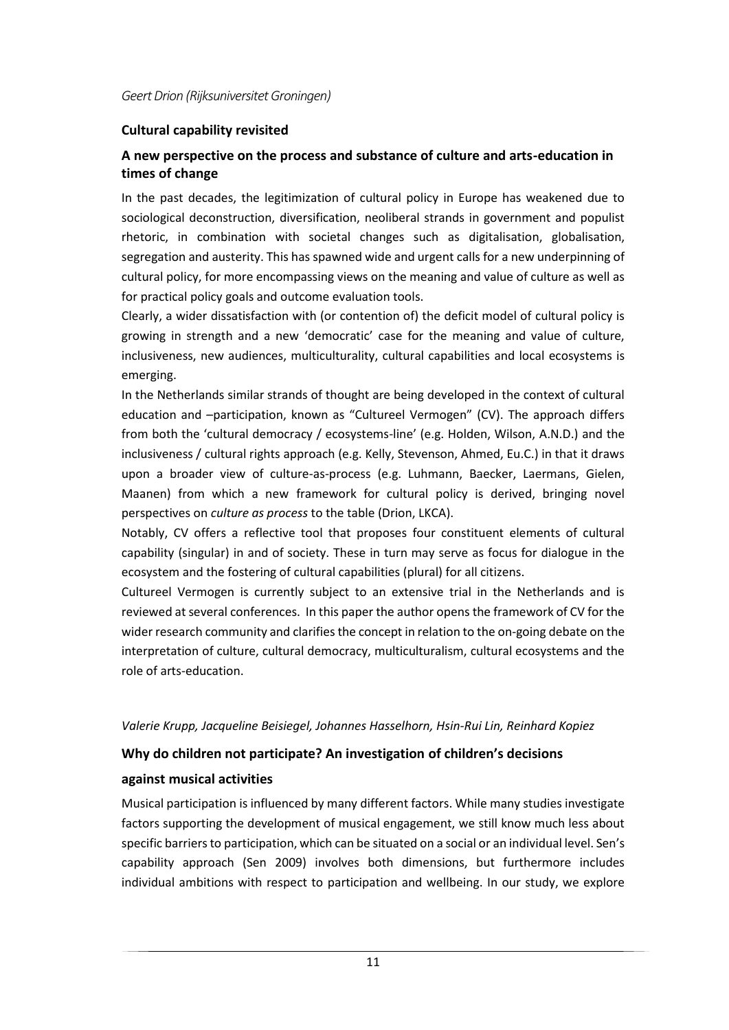## **Cultural capability revisited**

# **A new perspective on the process and substance of culture and arts-education in times of change**

In the past decades, the legitimization of cultural policy in Europe has weakened due to sociological deconstruction, diversification, neoliberal strands in government and populist rhetoric, in combination with societal changes such as digitalisation, globalisation, segregation and austerity. This has spawned wide and urgent calls for a new underpinning of cultural policy, for more encompassing views on the meaning and value of culture as well as for practical policy goals and outcome evaluation tools.

Clearly, a wider dissatisfaction with (or contention of) the deficit model of cultural policy is growing in strength and a new 'democratic' case for the meaning and value of culture, inclusiveness, new audiences, multiculturality, cultural capabilities and local ecosystems is emerging.

In the Netherlands similar strands of thought are being developed in the context of cultural education and –participation, known as "Cultureel Vermogen" (CV). The approach differs from both the 'cultural democracy / ecosystems-line' (e.g. Holden, Wilson, A.N.D.) and the inclusiveness / cultural rights approach (e.g. Kelly, Stevenson, Ahmed, Eu.C.) in that it draws upon a broader view of culture-as-process (e.g. Luhmann, Baecker, Laermans, Gielen, Maanen) from which a new framework for cultural policy is derived, bringing novel perspectives on *culture as process* to the table (Drion, LKCA).

Notably, CV offers a reflective tool that proposes four constituent elements of cultural capability (singular) in and of society. These in turn may serve as focus for dialogue in the ecosystem and the fostering of cultural capabilities (plural) for all citizens.

Cultureel Vermogen is currently subject to an extensive trial in the Netherlands and is reviewed at several conferences. In this paper the author opens the framework of CV for the wider research community and clarifies the concept in relation to the on-going debate on the interpretation of culture, cultural democracy, multiculturalism, cultural ecosystems and the role of arts-education.

#### *Valerie Krupp, Jacqueline Beisiegel, Johannes Hasselhorn, Hsin-Rui Lin, Reinhard Kopiez*

# **Why do children not participate? An investigation of children's decisions**

## **against musical activities**

Musical participation is influenced by many different factors. While many studies investigate factors supporting the development of musical engagement, we still know much less about specific barriers to participation, which can be situated on a social or an individual level. Sen's capability approach (Sen 2009) involves both dimensions, but furthermore includes individual ambitions with respect to participation and wellbeing. In our study, we explore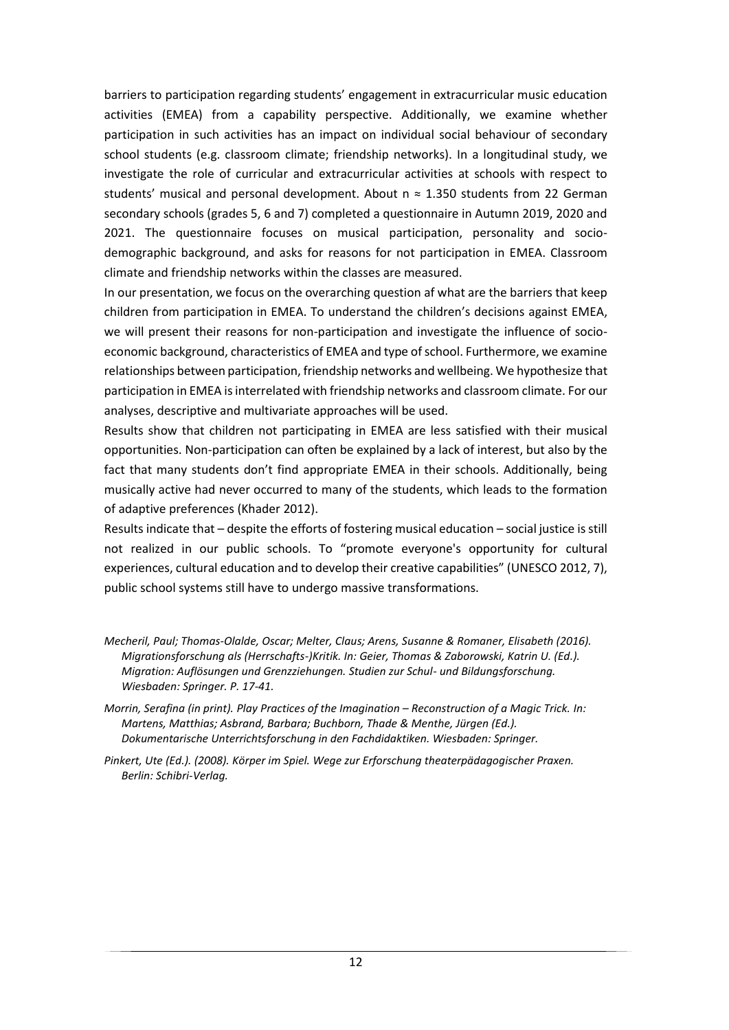barriers to participation regarding students' engagement in extracurricular music education activities (EMEA) from a capability perspective. Additionally, we examine whether participation in such activities has an impact on individual social behaviour of secondary school students (e.g. classroom climate; friendship networks). In a longitudinal study, we investigate the role of curricular and extracurricular activities at schools with respect to students' musical and personal development. About  $n \approx 1.350$  students from 22 German secondary schools (grades 5, 6 and 7) completed a questionnaire in Autumn 2019, 2020 and 2021. The questionnaire focuses on musical participation, personality and sociodemographic background, and asks for reasons for not participation in EMEA. Classroom climate and friendship networks within the classes are measured.

In our presentation, we focus on the overarching question af what are the barriers that keep children from participation in EMEA. To understand the children's decisions against EMEA, we will present their reasons for non-participation and investigate the influence of socioeconomic background, characteristics of EMEA and type of school. Furthermore, we examine relationships between participation, friendship networks and wellbeing. We hypothesize that participation in EMEA isinterrelated with friendship networks and classroom climate. For our analyses, descriptive and multivariate approaches will be used.

Results show that children not participating in EMEA are less satisfied with their musical opportunities. Non-participation can often be explained by a lack of interest, but also by the fact that many students don't find appropriate EMEA in their schools. Additionally, being musically active had never occurred to many of the students, which leads to the formation of adaptive preferences (Khader 2012).

Results indicate that – despite the efforts of fostering musical education – social justice is still not realized in our public schools. To "promote everyone's opportunity for cultural experiences, cultural education and to develop their creative capabilities" (UNESCO 2012, 7), public school systems still have to undergo massive transformations.

*Mecheril, Paul; Thomas-Olalde, Oscar; Melter, Claus; Arens, Susanne & Romaner, Elisabeth (2016). Migrationsforschung als (Herrschafts-)Kritik. In: Geier, Thomas & Zaborowski, Katrin U. (Ed.). Migration: Auflösungen und Grenzziehungen. Studien zur Schul- und Bildungsforschung. Wiesbaden: Springer. P. 17-41.*

*Morrin, Serafina (in print). Play Practices of the Imagination – Reconstruction of a Magic Trick. In: Martens, Matthias; Asbrand, Barbara; Buchborn, Thade & Menthe, Jürgen (Ed.). Dokumentarische Unterrichtsforschung in den Fachdidaktiken. Wiesbaden: Springer.*

*Pinkert, Ute (Ed.). (2008). Körper im Spiel. Wege zur Erforschung theaterpädagogischer Praxen. Berlin: Schibri-Verlag.*